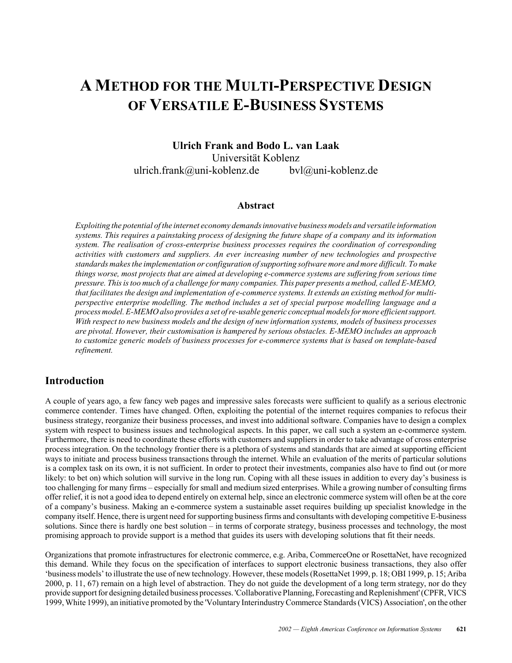# **A METHOD FOR THE MULTI-PERSPECTIVE DESIGN OF VERSATILE E-BUSINESS SYSTEMS**

**Ulrich Frank and Bodo L. van Laak** Universität Koblenz ulrich.frank@uni-koblenz.de bvl@uni-koblenz.de

#### **Abstract**

*Exploiting the potential of the internet economy demands innovative business models and versatile information systems. This requires a painstaking process of designing the future shape of a company and its information system. The realisation of cross-enterprise business processes requires the coordination of corresponding activities with customers and suppliers. An ever increasing number of new technologies and prospective standards makes the implementation or configuration of supporting software more and more difficult. To make things worse, most projects that are aimed at developing e-commerce systems are suffering from serious time pressure. This is too much of a challenge for many companies. This paper presents a method, called E-MEMO, that facilitates the design and implementation of e-commerce systems. It extends an existing method for multiperspective enterprise modelling. The method includes a set of special purpose modelling language and a process model. E-MEMO also provides a set of re-usable generic conceptual models for more efficient support. With respect to new business models and the design of new information systems, models of business processes are pivotal. However, their customisation is hampered by serious obstacles. E-MEMO includes an approach to customize generic models of business processes for e-commerce systems that is based on template-based refinement.*

### **Introduction**

A couple of years ago, a few fancy web pages and impressive sales forecasts were sufficient to qualify as a serious electronic commerce contender. Times have changed. Often, exploiting the potential of the internet requires companies to refocus their business strategy, reorganize their business processes, and invest into additional software. Companies have to design a complex system with respect to business issues and technological aspects. In this paper, we call such a system an e-commerce system. Furthermore, there is need to coordinate these efforts with customers and suppliers in order to take advantage of cross enterprise process integration. On the technology frontier there is a plethora of systems and standards that are aimed at supporting efficient ways to initiate and process business transactions through the internet. While an evaluation of the merits of particular solutions is a complex task on its own, it is not sufficient. In order to protect their investments, companies also have to find out (or more likely: to bet on) which solution will survive in the long run. Coping with all these issues in addition to every day's business is too challenging for many firms – especially for small and medium sized enterprises. While a growing number of consulting firms offer relief, it is not a good idea to depend entirely on external help, since an electronic commerce system will often be at the core of a companyís business. Making an e-commerce system a sustainable asset requires building up specialist knowledge in the company itself. Hence, there is urgent need for supporting business firms and consultants with developing competitive E-business solutions. Since there is hardly one best solution – in terms of corporate strategy, business processes and technology, the most promising approach to provide support is a method that guides its users with developing solutions that fit their needs.

Organizations that promote infrastructures for electronic commerce, e.g. Ariba, CommerceOne or RosettaNet, have recognized this demand. While they focus on the specification of interfaces to support electronic business transactions, they also offer ëbusiness modelsí to illustrate the use of new technology. However, these models (RosettaNet 1999, p. 18; OBI 1999, p. 15; Ariba 2000, p. 11, 67) remain on a high level of abstraction. They do not guide the development of a long term strategy, nor do they provide support for designing detailed business processes. 'Collaborative Planning, Forecasting and Replenishment' (CPFR, VICS 1999, White 1999), an initiative promoted by the 'Voluntary Interindustry Commerce Standards (VICS) Association', on the other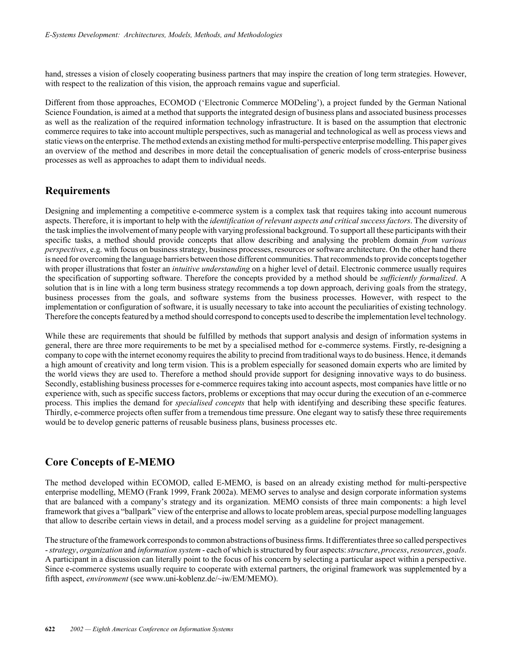hand, stresses a vision of closely cooperating business partners that may inspire the creation of long term strategies. However, with respect to the realization of this vision, the approach remains vague and superficial.

Different from those approaches, ECOMOD ('Electronic Commerce MODeling'), a project funded by the German National Science Foundation, is aimed at a method that supports the integrated design of business plans and associated business processes as well as the realization of the required information technology infrastructure. It is based on the assumption that electronic commerce requires to take into account multiple perspectives, such as managerial and technological as well as process views and static views on the enterprise. The method extends an existing method for multi-perspective enterprise modelling. This paper gives an overview of the method and describes in more detail the conceptualisation of generic models of cross-enterprise business processes as well as approaches to adapt them to individual needs.

## **Requirements**

Designing and implementing a competitive e-commerce system is a complex task that requires taking into account numerous aspects. Therefore, it is important to help with the *identification of relevant aspects and critical success factors*. The diversity of the task implies the involvement of many people with varying professional background. To support all these participants with their specific tasks, a method should provide concepts that allow describing and analysing the problem domain *from various perspectives*, e.g. with focus on business strategy, business processes, resources or software architecture. On the other hand there is need for overcoming the language barriers between those different communities. That recommends to provide concepts together with proper illustrations that foster an *intuitive understanding* on a higher level of detail. Electronic commerce usually requires the specification of supporting software. Therefore the concepts provided by a method should be *sufficiently formalized*. A solution that is in line with a long term business strategy recommends a top down approach, deriving goals from the strategy, business processes from the goals, and software systems from the business processes. However, with respect to the implementation or configuration of software, it is usually necessary to take into account the peculiarities of existing technology. Therefore the concepts featured by a method should correspond to concepts used to describe the implementation level technology.

While these are requirements that should be fulfilled by methods that support analysis and design of information systems in general, there are three more requirements to be met by a specialised method for e-commerce systems. Firstly, re-designing a company to cope with the internet economy requires the ability to precind from traditional ways to do business. Hence, it demands a high amount of creativity and long term vision. This is a problem especially for seasoned domain experts who are limited by the world views they are used to. Therefore a method should provide support for designing innovative ways to do business. Secondly, establishing business processes for e-commerce requires taking into account aspects, most companies have little or no experience with, such as specific success factors, problems or exceptions that may occur during the execution of an e-commerce process. This implies the demand for *specialised concepts* that help with identifying and describing these specific features. Thirdly, e-commerce projects often suffer from a tremendous time pressure. One elegant way to satisfy these three requirements would be to develop generic patterns of reusable business plans, business processes etc.

# **Core Concepts of E-MEMO**

The method developed within ECOMOD, called E-MEMO, is based on an already existing method for multi-perspective enterprise modelling, MEMO (Frank 1999, Frank 2002a). MEMO serves to analyse and design corporate information systems that are balanced with a company's strategy and its organization. MEMO consists of three main components: a high level framework that gives a "ballpark" view of the enterprise and allows to locate problem areas, special purpose modelling languages that allow to describe certain views in detail, and a process model serving as a guideline for project management.

The structure of the framework corresponds to common abstractions of business firms. It differentiates three so called perspectives - *strategy*, *organization* and *information system* - each of which is structured by four aspects: *structure*, *process*, *resources*, *goals*. A participant in a discussion can literally point to the focus of his concern by selecting a particular aspect within a perspective. Since e-commerce systems usually require to cooperate with external partners, the original framework was supplemented by a fifth aspect, *environment* (see www.uni-koblenz.de/~iw/EM/MEMO).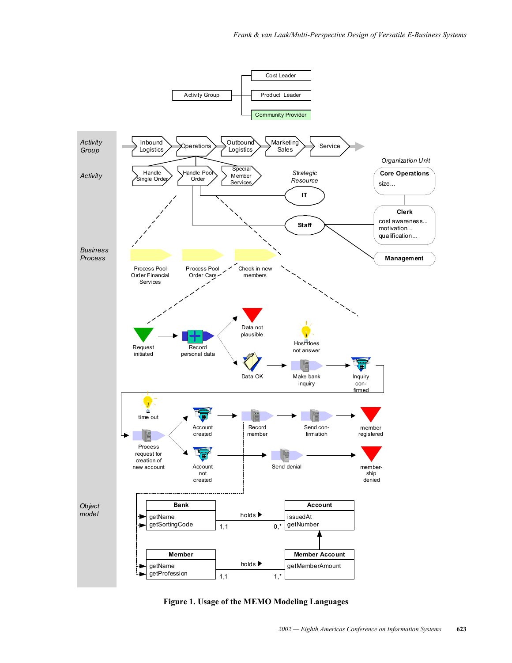

**Figure 1. Usage of the MEMO Modeling Languages**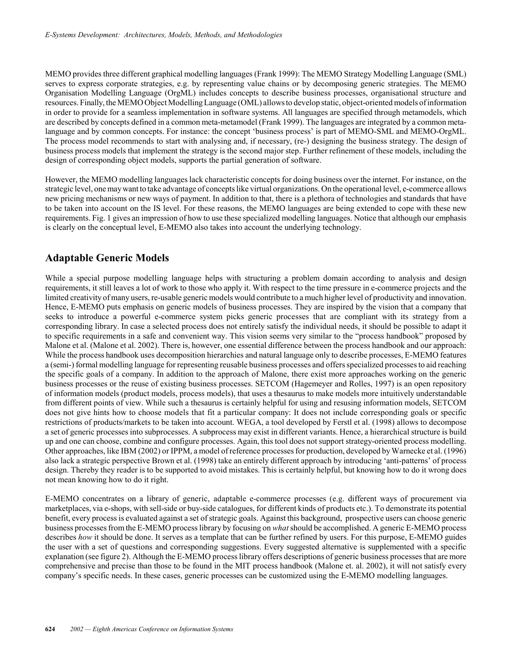MEMO provides three different graphical modelling languages (Frank 1999): The MEMO Strategy Modelling Language (SML) serves to express corporate strategies, e.g. by representing value chains or by decomposing generic strategies. The MEMO Organisation Modelling Language (OrgML) includes concepts to describe business processes, organisational structure and resources. Finally, the MEMO Object Modelling Language (OML) allows to develop static, object-oriented models of information in order to provide for a seamless implementation in software systems. All languages are specified through metamodels, which are described by concepts defined in a common meta-metamodel (Frank 1999). The languages are integrated by a common metalanguage and by common concepts. For instance: the concept 'business process' is part of MEMO-SML and MEMO-OrgML. The process model recommends to start with analysing and, if necessary, (re-) designing the business strategy. The design of business process models that implement the strategy is the second major step. Further refinement of these models, including the design of corresponding object models, supports the partial generation of software.

However, the MEMO modelling languages lack characteristic concepts for doing business over the internet. For instance, on the strategic level, one may want to take advantage of concepts like virtual organizations. On the operational level, e-commerce allows new pricing mechanisms or new ways of payment. In addition to that, there is a plethora of technologies and standards that have to be taken into account on the IS level. For these reasons, the MEMO languages are being extended to cope with these new requirements. Fig. 1 gives an impression of how to use these specialized modelling languages. Notice that although our emphasis is clearly on the conceptual level, E-MEMO also takes into account the underlying technology.

## **Adaptable Generic Models**

While a special purpose modelling language helps with structuring a problem domain according to analysis and design requirements, it still leaves a lot of work to those who apply it. With respect to the time pressure in e-commerce projects and the limited creativity of many users, re-usable generic models would contribute to a much higher level of productivity and innovation. Hence, E-MEMO puts emphasis on generic models of business processes. They are inspired by the vision that a company that seeks to introduce a powerful e-commerce system picks generic processes that are compliant with its strategy from a corresponding library. In case a selected process does not entirely satisfy the individual needs, it should be possible to adapt it to specific requirements in a safe and convenient way. This vision seems very similar to the "process handbook" proposed by Malone et al. (Malone et al. 2002). There is, however, one essential difference between the process handbook and our approach: While the process handbook uses decomposition hierarchies and natural language only to describe processes, E-MEMO features a (semi-) formal modelling language for representing reusable business processes and offers specialized processes to aid reaching the specific goals of a company. In addition to the approach of Malone, there exist more approaches working on the generic business processes or the reuse of existing business processes. SETCOM (Hagemeyer and Rolles, 1997) is an open repository of information models (product models, process models), that uses a thesaurus to make models more intuitively understandable from different points of view. While such a thesaurus is certainly helpful for using and resusing information models, SETCOM does not give hints how to choose models that fit a particular company: It does not include corresponding goals or specific restrictions of products/markets to be taken into account. WEGA, a tool developed by Ferstl et al. (1998) allows to decompose a set of generic processes into subprocesses. A subprocess may exist in different variants. Hence, a hierarchical structure is build up and one can choose, combine and configure processes. Again, this tool does not support strategy-oriented process modelling. Other approaches, like IBM (2002) or IPPM, a model of reference processes for production, developed by Warnecke et al. (1996) also lack a strategic perspective Brown et al. (1998) take an entirely different approach by introducing 'anti-patterns' of process design. Thereby they reader is to be supported to avoid mistakes. This is certainly helpful, but knowing how to do it wrong does not mean knowing how to do it right.

E-MEMO concentrates on a library of generic, adaptable e-commerce processes (e.g. different ways of procurement via marketplaces, via e-shops, with sell-side or buy-side catalogues, for different kinds of products etc.). To demonstrate its potential benefit, every process is evaluated against a set of strategic goals. Against this background, prospective users can choose generic business processes from the E-MEMO process library by focusing on *what* should be accomplished. A generic E-MEMO process describes *how* it should be done. It serves as a template that can be further refined by users. For this purpose, E-MEMO guides the user with a set of questions and corresponding suggestions. Every suggested alternative is supplemented with a specific explanation (see figure 2). Although the E-MEMO process library offers descriptions of generic business processes that are more comprehensive and precise than those to be found in the MIT process handbook (Malone et. al. 2002), it will not satisfy every company's specific needs. In these cases, generic processes can be customized using the E-MEMO modelling languages.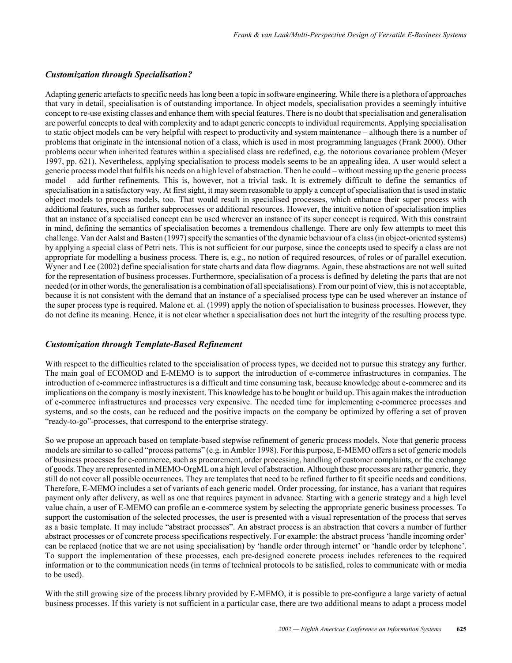#### *Customization through Specialisation?*

Adapting generic artefacts to specific needs has long been a topic in software engineering. While there is a plethora of approaches that vary in detail, specialisation is of outstanding importance. In object models, specialisation provides a seemingly intuitive concept to re-use existing classes and enhance them with special features. There is no doubt that specialisation and generalisation are powerful concepts to deal with complexity and to adapt generic concepts to individual requirements. Applying specialisation to static object models can be very helpful with respect to productivity and system maintenance - although there is a number of problems that originate in the intensional notion of a class, which is used in most programming languages (Frank 2000). Other problems occur when inherited features within a specialised class are redefined, e.g. the notorious covariance problem (Meyer 1997, pp. 621). Nevertheless, applying specialisation to process models seems to be an appealing idea. A user would select a generic process model that fulfils his needs on a high level of abstraction. Then he could – without messing up the generic process model – add further refinements. This is, however, not a trivial task. It is extremely difficult to define the semantics of specialisation in a satisfactory way. At first sight, it may seem reasonable to apply a concept of specialisation that is used in static object models to process models, too. That would result in specialised processes, which enhance their super process with additional features, such as further subprocesses or additional resources. However, the intuitive notion of specialisation implies that an instance of a specialised concept can be used wherever an instance of its super concept is required. With this constraint in mind, defining the semantics of specialisation becomes a tremendous challenge. There are only few attempts to meet this challenge. Van der Aalst and Basten (1997) specify the semantics of the dynamic behaviour of a class (in object-oriented systems) by applying a special class of Petri nets. This is not sufficient for our purpose, since the concepts used to specify a class are not appropriate for modelling a business process. There is, e.g., no notion of required resources, of roles or of parallel execution. Wyner and Lee (2002) define specialisation for state charts and data flow diagrams. Again, these abstractions are not well suited for the representation of business processes. Furthermore, specialisation of a process is defined by deleting the parts that are not needed (or in other words, the generalisation is a combination of all specialisations). From our point of view, this is not acceptable, because it is not consistent with the demand that an instance of a specialised process type can be used wherever an instance of the super process type is required. Malone et. al. (1999) apply the notion of specialisation to business processes. However, they do not define its meaning. Hence, it is not clear whether a specialisation does not hurt the integrity of the resulting process type.

#### *Customization through Template-Based Refinement*

With respect to the difficulties related to the specialisation of process types, we decided not to pursue this strategy any further. The main goal of ECOMOD and E-MEMO is to support the introduction of e-commerce infrastructures in companies. The introduction of e-commerce infrastructures is a difficult and time consuming task, because knowledge about e-commerce and its implications on the company is mostly inexistent. This knowledge has to be bought or build up. This again makes the introduction of e-commerce infrastructures and processes very expensive. The needed time for implementing e-commerce processes and systems, and so the costs, can be reduced and the positive impacts on the company be optimized by offering a set of proven "ready-to-go"-processes, that correspond to the enterprise strategy.

So we propose an approach based on template-based stepwise refinement of generic process models. Note that generic process models are similar to so called "process patterns" (e.g. in Ambler 1998). For this purpose, E-MEMO offers a set of generic models of business processes for e-commerce, such as procurement, order processing, handling of customer complaints, or the exchange of goods. They are represented in MEMO-OrgML on a high level of abstraction. Although these processes are rather generic, they still do not cover all possible occurrences. They are templates that need to be refined further to fit specific needs and conditions. Therefore, E-MEMO includes a set of variants of each generic model. Order processing, for instance, has a variant that requires payment only after delivery, as well as one that requires payment in advance. Starting with a generic strategy and a high level value chain, a user of E-MEMO can profile an e-commerce system by selecting the appropriate generic business processes. To support the customisation of the selected processes, the user is presented with a visual representation of the process that serves as a basic template. It may include "abstract processes". An abstract process is an abstraction that covers a number of further abstract processes or of concrete process specifications respectively. For example: the abstract process 'handle incoming order' can be replaced (notice that we are not using specialisation) by 'handle order through internet' or 'handle order by telephone'. To support the implementation of these processes, each pre-designed concrete process includes references to the required information or to the communication needs (in terms of technical protocols to be satisfied, roles to communicate with or media to be used).

With the still growing size of the process library provided by E-MEMO, it is possible to pre-configure a large variety of actual business processes. If this variety is not sufficient in a particular case, there are two additional means to adapt a process model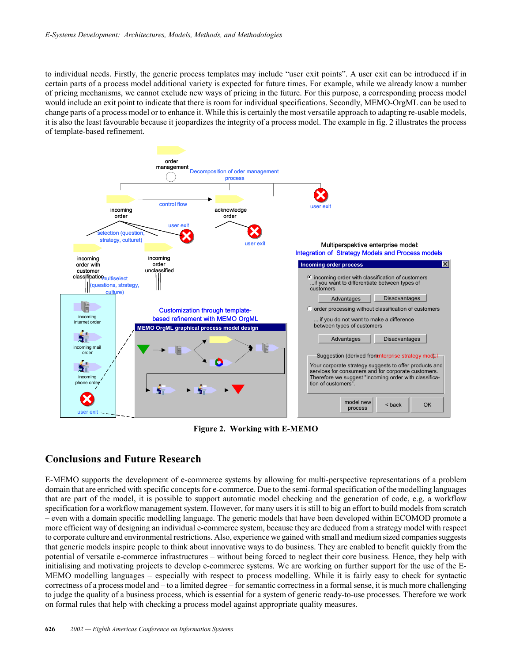to individual needs. Firstly, the generic process templates may include "user exit points". A user exit can be introduced if in certain parts of a process model additional variety is expected for future times. For example, while we already know a number of pricing mechanisms, we cannot exclude new ways of pricing in the future. For this purpose, a corresponding process model would include an exit point to indicate that there is room for individual specifications. Secondly, MEMO-OrgML can be used to change parts of a process model or to enhance it. While this is certainly the most versatile approach to adapting re-usable models, it is also the least favourable because it jeopardizes the integrity of a process model. The example in fig. 2 illustrates the process of template-based refinement.



**Figure 2. Working with E-MEMO**

# **Conclusions and Future Research**

E-MEMO supports the development of e-commerce systems by allowing for multi-perspective representations of a problem domain that are enriched with specific concepts for e-commerce. Due to the semi-formal specification of the modelling languages that are part of the model, it is possible to support automatic model checking and the generation of code, e.g. a workflow specification for a workflow management system. However, for many users it is still to big an effort to build models from scratch – even with a domain specific modelling language. The generic models that have been developed within ECOMOD promote a more efficient way of designing an individual e-commerce system, because they are deduced from a strategy model with respect to corporate culture and environmental restrictions. Also, experience we gained with small and medium sized companies suggests that generic models inspire people to think about innovative ways to do business. They are enabled to benefit quickly from the potential of versatile e-commerce infrastructures – without being forced to neglect their core business. Hence, they help with initialising and motivating projects to develop e-commerce systems. We are working on further support for the use of the E-MEMO modelling languages – especially with respect to process modelling. While it is fairly easy to check for syntactic correctness of a process model and – to a limited degree – for semantic correctness in a formal sense, it is much more challenging to judge the quality of a business process, which is essential for a system of generic ready-to-use processes. Therefore we work on formal rules that help with checking a process model against appropriate quality measures.